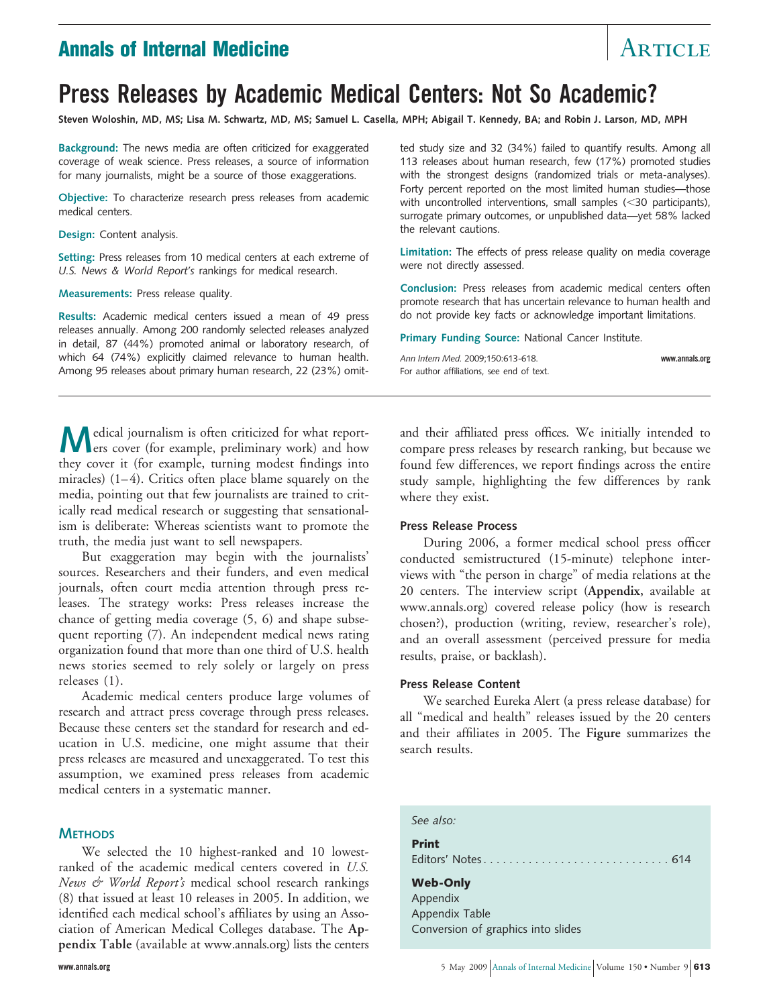# **Annals of Internal Medicine** Annal Article

# **Press Releases by Academic Medical Centers: Not So Academic?**

**Steven Woloshin, MD, MS; Lisa M. Schwartz, MD, MS; Samuel L. Casella, MPH; Abigail T. Kennedy, BA; and Robin J. Larson, MD, MPH**

**Background:** The news media are often criticized for exaggerated coverage of weak science. Press releases, a source of information for many journalists, might be a source of those exaggerations.

**Objective:** To characterize research press releases from academic medical centers.

**Design:** Content analysis.

**Setting:** Press releases from 10 medical centers at each extreme of *U.S. News & World Report's* rankings for medical research.

**Measurements:** Press release quality.

**Results:** Academic medical centers issued a mean of 49 press releases annually. Among 200 randomly selected releases analyzed in detail, 87 (44%) promoted animal or laboratory research, of which 64 (74%) explicitly claimed relevance to human health. Among 95 releases about primary human research, 22 (23%) omitted study size and 32 (34%) failed to quantify results. Among all 113 releases about human research, few (17%) promoted studies with the strongest designs (randomized trials or meta-analyses). Forty percent reported on the most limited human studies—those with uncontrolled interventions, small samples (<30 participants), surrogate primary outcomes, or unpublished data—yet 58% lacked the relevant cautions.

**Limitation:** The effects of press release quality on media coverage were not directly assessed.

**Conclusion:** Press releases from academic medical centers often promote research that has uncertain relevance to human health and do not provide key facts or acknowledge important limitations.

**Primary Funding Source:** National Cancer Institute.

*Ann Intern Med.* 2009;150:613-618. **www.annals.org** For author affiliations, see end of text.

Medical journalism is often criticized for what report-<br>ers cover (for example, preliminary work) and how they cover it (for example, turning modest findings into miracles)  $(1-4)$ . Critics often place blame squarely on the media, pointing out that few journalists are trained to critically read medical research or suggesting that sensationalism is deliberate: Whereas scientists want to promote the truth, the media just want to sell newspapers.

But exaggeration may begin with the journalists' sources. Researchers and their funders, and even medical journals, often court media attention through press releases. The strategy works: Press releases increase the chance of getting media coverage (5, 6) and shape subsequent reporting (7). An independent medical news rating organization found that more than one third of U.S. health news stories seemed to rely solely or largely on press releases (1).

Academic medical centers produce large volumes of research and attract press coverage through press releases. Because these centers set the standard for research and education in U.S. medicine, one might assume that their press releases are measured and unexaggerated. To test this assumption, we examined press releases from academic medical centers in a systematic manner.

# **METHODS**

We selected the 10 highest-ranked and 10 lowestranked of the academic medical centers covered in *U.S. News & World Report's* medical school research rankings (8) that issued at least 10 releases in 2005. In addition, we identified each medical school's affiliates by using an Association of American Medical Colleges database. The **Appendix Table** (available at www.annals.org) lists the centers

and their affiliated press offices. We initially intended to compare press releases by research ranking, but because we found few differences, we report findings across the entire study sample, highlighting the few differences by rank where they exist.

#### **Press Release Process**

During 2006, a former medical school press officer conducted semistructured (15-minute) telephone interviews with "the person in charge" of media relations at the 20 centers. The interview script (**Appendix,** available at www.annals.org) covered release policy (how is research chosen?), production (writing, review, researcher's role), and an overall assessment (perceived pressure for media results, praise, or backlash).

#### **Press Release Content**

We searched Eureka Alert (a press release database) for all "medical and health" releases issued by the 20 centers and their affiliates in 2005. The **Figure** summarizes the search results.

#### *See also:*

| Print                              |  |
|------------------------------------|--|
|                                    |  |
| <b>Web-Only</b>                    |  |
| Appendix                           |  |
| Appendix Table                     |  |
| Conversion of graphics into slides |  |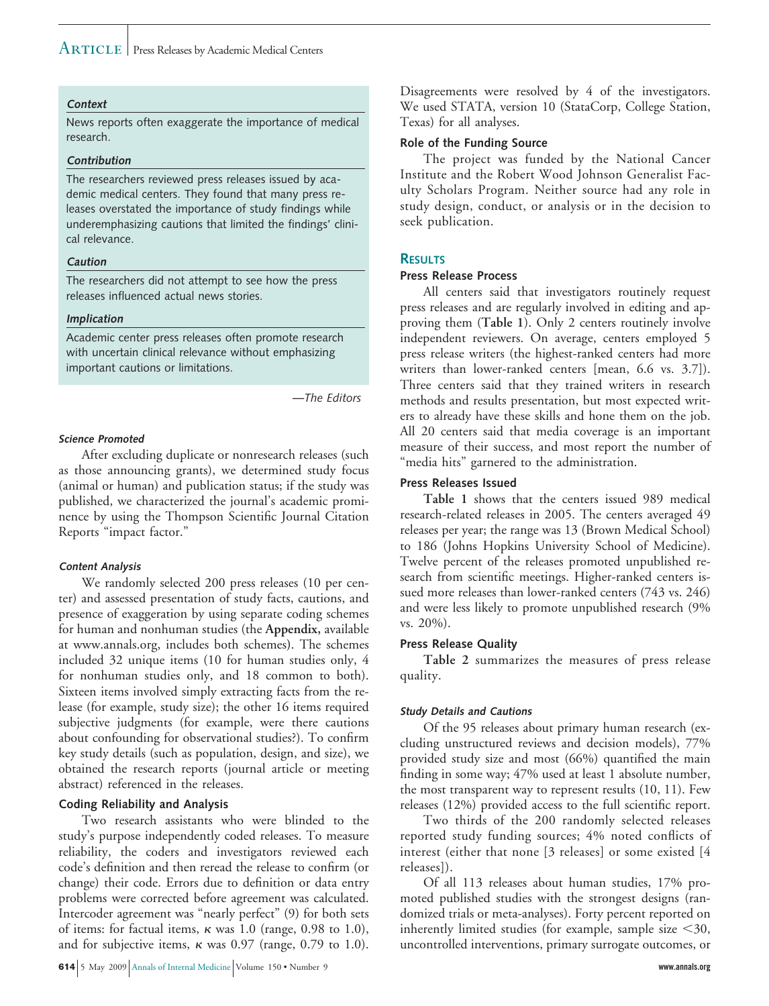# $\text{ARTICE} \mid \text{Press Release}$  by Academic Medical Centers

#### **Context**

News reports often exaggerate the importance of medical research.

#### **Contribution**

The researchers reviewed press releases issued by academic medical centers. They found that many press releases overstated the importance of study findings while underemphasizing cautions that limited the findings' clinical relevance.

# **Caution**

The researchers did not attempt to see how the press releases influenced actual news stories.

#### **Implication**

Academic center press releases often promote research with uncertain clinical relevance without emphasizing important cautions or limitations.

*—The Editors*

#### **Science Promoted**

After excluding duplicate or nonresearch releases (such as those announcing grants), we determined study focus (animal or human) and publication status; if the study was published, we characterized the journal's academic prominence by using the Thompson Scientific Journal Citation Reports "impact factor."

# **Content Analysis**

We randomly selected 200 press releases (10 per center) and assessed presentation of study facts, cautions, and presence of exaggeration by using separate coding schemes for human and nonhuman studies (the **Appendix,** available at www.annals.org, includes both schemes**)**. The schemes included 32 unique items (10 for human studies only, 4 for nonhuman studies only, and 18 common to both). Sixteen items involved simply extracting facts from the release (for example, study size); the other 16 items required subjective judgments (for example, were there cautions about confounding for observational studies?). To confirm key study details (such as population, design, and size), we obtained the research reports (journal article or meeting abstract) referenced in the releases.

#### **Coding Reliability and Analysis**

Two research assistants who were blinded to the study's purpose independently coded releases. To measure reliability, the coders and investigators reviewed each code's definition and then reread the release to confirm (or change) their code. Errors due to definition or data entry problems were corrected before agreement was calculated. Intercoder agreement was "nearly perfect" (9) for both sets of items: for factual items,  $\kappa$  was 1.0 (range, 0.98 to 1.0), and for subjective items,  $\kappa$  was 0.97 (range, 0.79 to 1.0).

Disagreements were resolved by 4 of the investigators. We used STATA, version 10 (StataCorp, College Station, Texas) for all analyses.

# **Role of the Funding Source**

The project was funded by the National Cancer Institute and the Robert Wood Johnson Generalist Faculty Scholars Program. Neither source had any role in study design, conduct, or analysis or in the decision to seek publication.

# **RESULTS**

# **Press Release Process**

All centers said that investigators routinely request press releases and are regularly involved in editing and approving them (**Table 1**). Only 2 centers routinely involve independent reviewers. On average, centers employed 5 press release writers (the highest-ranked centers had more writers than lower-ranked centers [mean, 6.6 vs. 3.7]). Three centers said that they trained writers in research methods and results presentation, but most expected writers to already have these skills and hone them on the job. All 20 centers said that media coverage is an important measure of their success, and most report the number of "media hits" garnered to the administration.

# **Press Releases Issued**

**Table 1** shows that the centers issued 989 medical research-related releases in 2005. The centers averaged 49 releases per year; the range was 13 (Brown Medical School) to 186 (Johns Hopkins University School of Medicine). Twelve percent of the releases promoted unpublished research from scientific meetings. Higher-ranked centers issued more releases than lower-ranked centers (743 vs. 246) and were less likely to promote unpublished research (9% vs. 20%).

#### **Press Release Quality**

**Table 2** summarizes the measures of press release quality.

# **Study Details and Cautions**

Of the 95 releases about primary human research (excluding unstructured reviews and decision models), 77% provided study size and most (66%) quantified the main finding in some way; 47% used at least 1 absolute number, the most transparent way to represent results (10, 11). Few releases (12%) provided access to the full scientific report.

Two thirds of the 200 randomly selected releases reported study funding sources; 4% noted conflicts of interest (either that none [3 releases] or some existed [4 releases]).

Of all 113 releases about human studies, 17% promoted published studies with the strongest designs (randomized trials or meta-analyses). Forty percent reported on inherently limited studies (for example, sample size  $\leq 30$ , uncontrolled interventions, primary surrogate outcomes, or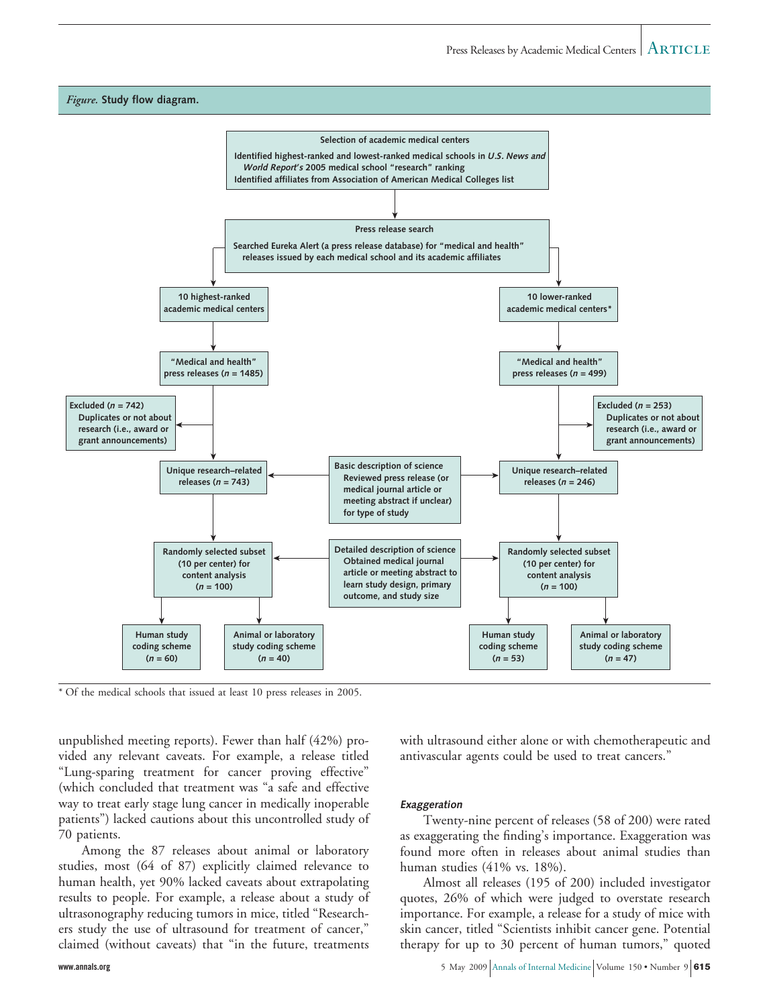

\* Of the medical schools that issued at least 10 press releases in 2005.

unpublished meeting reports). Fewer than half (42%) provided any relevant caveats. For example, a release titled "Lung-sparing treatment for cancer proving effective" (which concluded that treatment was "a safe and effective way to treat early stage lung cancer in medically inoperable patients") lacked cautions about this uncontrolled study of 70 patients.

Among the 87 releases about animal or laboratory studies, most (64 of 87) explicitly claimed relevance to human health, yet 90% lacked caveats about extrapolating results to people. For example, a release about a study of ultrasonography reducing tumors in mice, titled "Researchers study the use of ultrasound for treatment of cancer," claimed (without caveats) that "in the future, treatments

with ultrasound either alone or with chemotherapeutic and antivascular agents could be used to treat cancers."

#### **Exaggeration**

Twenty-nine percent of releases (58 of 200) were rated as exaggerating the finding's importance. Exaggeration was found more often in releases about animal studies than human studies (41% vs. 18%).

Almost all releases (195 of 200) included investigator quotes, 26% of which were judged to overstate research importance. For example, a release for a study of mice with skin cancer, titled "Scientists inhibit cancer gene. Potential therapy for up to 30 percent of human tumors," quoted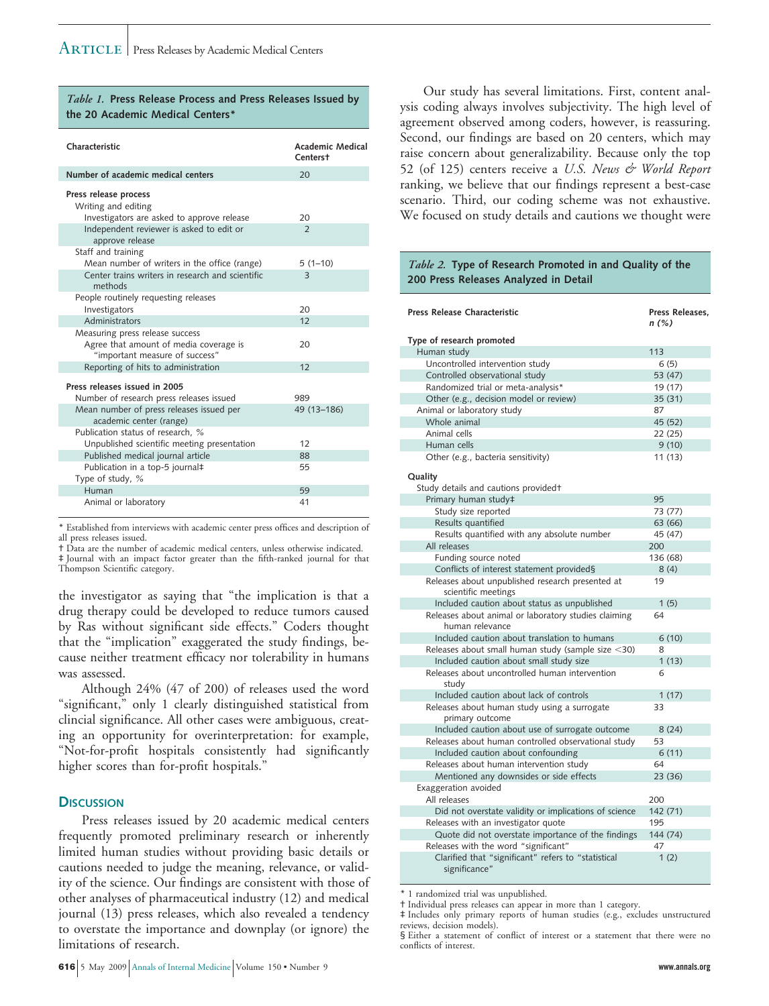# ARTICLE | Press Releases by Academic Medical Centers

#### *Table 1.* **Press Release Process and Press Releases Issued by the 20 Academic Medical Centers\***

| Characteristic                                                                                                  | Academic Medical<br>Centerst |
|-----------------------------------------------------------------------------------------------------------------|------------------------------|
| Number of academic medical centers                                                                              | 20                           |
| Press release process<br>Writing and editing                                                                    |                              |
| Investigators are asked to approve release                                                                      | 20                           |
| Independent reviewer is asked to edit or<br>approve release                                                     | $\mathcal{P}$                |
| Staff and training<br>Mean number of writers in the office (range)                                              | $5(1-10)$                    |
| Center trains writers in research and scientific<br>methods                                                     | 3                            |
| People routinely requesting releases<br>Investigators                                                           | 20                           |
| Administrators                                                                                                  | 12                           |
| Measuring press release success<br>Agree that amount of media coverage is<br>"important measure of success"     | 20                           |
| Reporting of hits to administration                                                                             | 12                           |
| Press releases issued in 2005                                                                                   | 989                          |
| Number of research press releases issued<br>Mean number of press releases issued per<br>academic center (range) | 49 (13-186)                  |
| Publication status of research, %<br>Unpublished scientific meeting presentation                                | 12                           |
| Published medical journal article                                                                               | 88                           |
| Publication in a top-5 journal‡<br>Type of study, %                                                             | 55                           |
| Human                                                                                                           | 59                           |
| Animal or laboratory                                                                                            | 41                           |

\* Established from interviews with academic center press offices and description of all press releases issued.

† Data are the number of academic medical centers, unless otherwise indicated.

‡ Journal with an impact factor greater than the fifth-ranked journal for that Thompson Scientific category.

the investigator as saying that "the implication is that a drug therapy could be developed to reduce tumors caused by Ras without significant side effects." Coders thought that the "implication" exaggerated the study findings, because neither treatment efficacy nor tolerability in humans was assessed.

Although 24% (47 of 200) of releases used the word "significant," only 1 clearly distinguished statistical from clincial significance. All other cases were ambiguous, creating an opportunity for overinterpretation: for example, "Not-for-profit hospitals consistently had significantly higher scores than for-profit hospitals."

# **DISCUSSION**

Press releases issued by 20 academic medical centers frequently promoted preliminary research or inherently limited human studies without providing basic details or cautions needed to judge the meaning, relevance, or validity of the science. Our findings are consistent with those of other analyses of pharmaceutical industry (12) and medical journal (13) press releases, which also revealed a tendency to overstate the importance and downplay (or ignore) the limitations of research.

Our study has several limitations. First, content analysis coding always involves subjectivity. The high level of agreement observed among coders, however, is reassuring. Second, our findings are based on 20 centers, which may raise concern about generalizability. Because only the top 52 (of 125) centers receive a *U.S. News & World Report* ranking, we believe that our findings represent a best-case scenario. Third, our coding scheme was not exhaustive. We focused on study details and cautions we thought were

# *Table 2.* **Type of Research Promoted in and Quality of the 200 Press Releases Analyzed in Detail**

| Press Release Characteristic                                            | Press Releases.<br>n (%) |
|-------------------------------------------------------------------------|--------------------------|
| Type of research promoted                                               |                          |
| Human study                                                             | 113                      |
| Uncontrolled intervention study                                         | 6(5)                     |
| Controlled observational study                                          | 53 (47)                  |
| Randomized trial or meta-analysis*                                      | 19 (17)                  |
| Other (e.g., decision model or review)                                  | 35 (31)                  |
| Animal or laboratory study                                              | 87                       |
| Whole animal                                                            | 45 (52)                  |
| Animal cells                                                            | 22 (25)                  |
| Human cells                                                             | 9(10)                    |
| Other (e.g., bacteria sensitivity)                                      | 11 (13)                  |
|                                                                         |                          |
| Quality                                                                 |                          |
| Study details and cautions providedt                                    |                          |
| Primary human study‡                                                    | 95                       |
| Study size reported                                                     | 73 (77)                  |
| Results quantified                                                      | 63 (66)                  |
| Results quantified with any absolute number                             | 45 (47)                  |
| All releases                                                            | 200                      |
| Funding source noted                                                    | 136 (68)                 |
| Conflicts of interest statement provided§                               | 8(4)                     |
| Releases about unpublished research presented at<br>scientific meetings | 19                       |
| Included caution about status as unpublished                            | 1(5)                     |
| Releases about animal or laboratory studies claiming<br>human relevance | 64                       |
| Included caution about translation to humans                            | 6(10)                    |
| Releases about small human study (sample size <30)                      | 8                        |
| Included caution about small study size                                 | 1(13)                    |
| Releases about uncontrolled human intervention<br>study                 | 6                        |
| Included caution about lack of controls                                 | 1(17)                    |
| Releases about human study using a surrogate<br>primary outcome         | 33                       |
| Included caution about use of surrogate outcome                         | 8(24)                    |
| Releases about human controlled observational study                     | 53                       |
| Included caution about confounding                                      | 6(11)                    |
| Releases about human intervention study                                 | 64                       |
| Mentioned any downsides or side effects                                 | 23 (36)                  |
| Exaggeration avoided                                                    |                          |
| All releases                                                            | 200                      |
| Did not overstate validity or implications of science                   | 142 (71)                 |
| Releases with an investigator quote                                     | 195                      |
| Quote did not overstate importance of the findings                      | 144 (74)                 |
| Releases with the word "significant"                                    | 47                       |
| Clarified that "significant" refers to "statistical<br>significance"    | 1(2)                     |

\* 1 randomized trial was unpublished.

<sup>†</sup> Individual press releases can appear in more than 1 category.

<sup>‡</sup> Includes only primary reports of human studies (e.g., excludes unstructured reviews, decision models).

<sup>§</sup> Either a statement of conflict of interest or a statement that there were no conflicts of interest.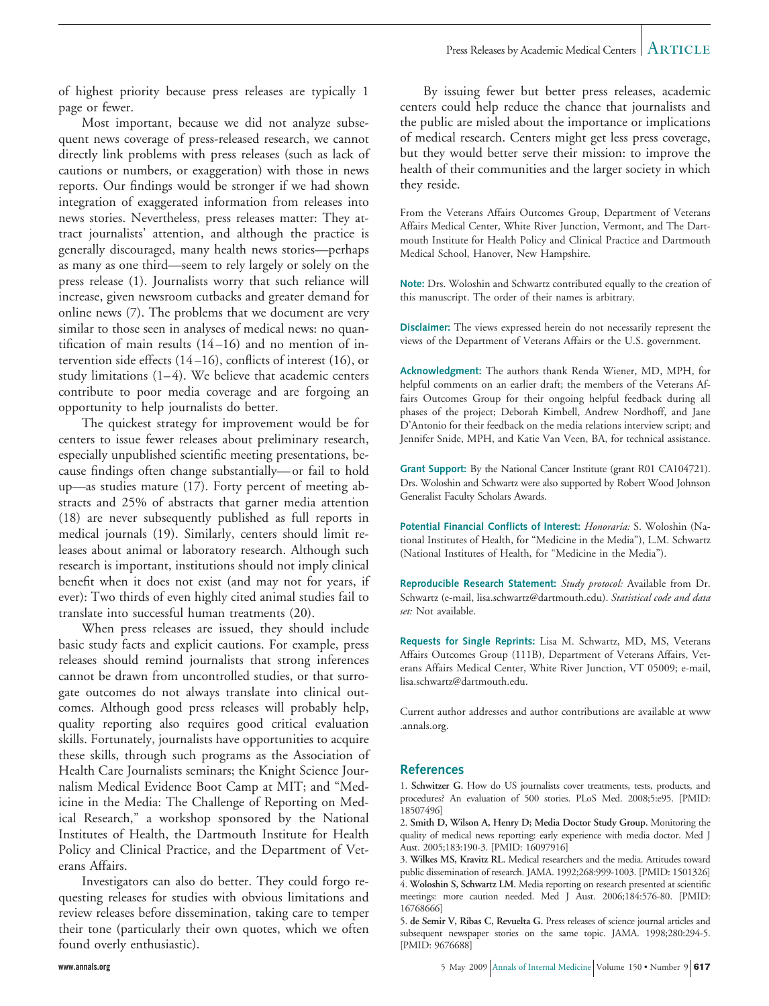of highest priority because press releases are typically 1 page or fewer.

Most important, because we did not analyze subsequent news coverage of press-released research, we cannot directly link problems with press releases (such as lack of cautions or numbers, or exaggeration) with those in news reports. Our findings would be stronger if we had shown integration of exaggerated information from releases into news stories. Nevertheless, press releases matter: They attract journalists' attention, and although the practice is generally discouraged, many health news stories—perhaps as many as one third—seem to rely largely or solely on the press release (1). Journalists worry that such reliance will increase, given newsroom cutbacks and greater demand for online news (7). The problems that we document are very similar to those seen in analyses of medical news: no quantification of main results (14 –16) and no mention of intervention side effects (14 –16), conflicts of interest (16), or study limitations  $(1-4)$ . We believe that academic centers contribute to poor media coverage and are forgoing an opportunity to help journalists do better.

The quickest strategy for improvement would be for centers to issue fewer releases about preliminary research, especially unpublished scientific meeting presentations, because findings often change substantially—or fail to hold up—as studies mature (17). Forty percent of meeting abstracts and 25% of abstracts that garner media attention (18) are never subsequently published as full reports in medical journals (19). Similarly, centers should limit releases about animal or laboratory research. Although such research is important, institutions should not imply clinical benefit when it does not exist (and may not for years, if ever): Two thirds of even highly cited animal studies fail to translate into successful human treatments (20).

When press releases are issued, they should include basic study facts and explicit cautions. For example, press releases should remind journalists that strong inferences cannot be drawn from uncontrolled studies, or that surrogate outcomes do not always translate into clinical outcomes. Although good press releases will probably help, quality reporting also requires good critical evaluation skills. Fortunately, journalists have opportunities to acquire these skills, through such programs as the Association of Health Care Journalists seminars; the Knight Science Journalism Medical Evidence Boot Camp at MIT; and "Medicine in the Media: The Challenge of Reporting on Medical Research," a workshop sponsored by the National Institutes of Health, the Dartmouth Institute for Health Policy and Clinical Practice, and the Department of Veterans Affairs.

Investigators can also do better. They could forgo requesting releases for studies with obvious limitations and review releases before dissemination, taking care to temper their tone (particularly their own quotes, which we often found overly enthusiastic).

By issuing fewer but better press releases, academic centers could help reduce the chance that journalists and the public are misled about the importance or implications of medical research. Centers might get less press coverage, but they would better serve their mission: to improve the health of their communities and the larger society in which they reside.

From the Veterans Affairs Outcomes Group, Department of Veterans Affairs Medical Center, White River Junction, Vermont, and The Dartmouth Institute for Health Policy and Clinical Practice and Dartmouth Medical School, Hanover, New Hampshire.

**Note:** Drs. Woloshin and Schwartz contributed equally to the creation of this manuscript. The order of their names is arbitrary.

**Disclaimer:** The views expressed herein do not necessarily represent the views of the Department of Veterans Affairs or the U.S. government.

**Acknowledgment:** The authors thank Renda Wiener, MD, MPH, for helpful comments on an earlier draft; the members of the Veterans Affairs Outcomes Group for their ongoing helpful feedback during all phases of the project; Deborah Kimbell, Andrew Nordhoff, and Jane D'Antonio for their feedback on the media relations interview script; and Jennifer Snide, MPH, and Katie Van Veen, BA, for technical assistance.

**Grant Support:** By the National Cancer Institute (grant R01 CA104721). Drs. Woloshin and Schwartz were also supported by Robert Wood Johnson Generalist Faculty Scholars Awards.

**Potential Financial Conflicts of Interest:** *Honoraria:* S. Woloshin (National Institutes of Health, for "Medicine in the Media"), L.M. Schwartz (National Institutes of Health, for "Medicine in the Media").

**Reproducible Research Statement:** *Study protocol:* Available from Dr. Schwartz (e-mail, lisa.schwartz@dartmouth.edu). *Statistical code and data set:* Not available.

**Requests for Single Reprints:** Lisa M. Schwartz, MD, MS, Veterans Affairs Outcomes Group (111B), Department of Veterans Affairs, Veterans Affairs Medical Center, White River Junction, VT 05009; e-mail, lisa.schwartz@dartmouth.edu.

Current author addresses and author contributions are available at www .annals.org.

#### **References**

1. **Schwitzer G.** How do US journalists cover treatments, tests, products, and procedures? An evaluation of 500 stories. PLoS Med. 2008;5:e95. [PMID: 18507496]

2. **Smith D, Wilson A, Henry D; Media Doctor Study Group.** Monitoring the quality of medical news reporting: early experience with media doctor. Med J Aust. 2005;183:190-3. [PMID: 16097916]

3. **Wilkes MS, Kravitz RL.** Medical researchers and the media. Attitudes toward public dissemination of research. JAMA. 1992;268:999-1003. [PMID: 1501326] 4. **Woloshin S, Schwartz LM.** Media reporting on research presented at scientific meetings: more caution needed. Med J Aust. 2006;184:576-80. [PMID: 16768666]

5. **de Semir V, Ribas C, Revuelta G.** Press releases of science journal articles and subsequent newspaper stories on the same topic. JAMA. 1998;280:294-5. [PMID: 9676688]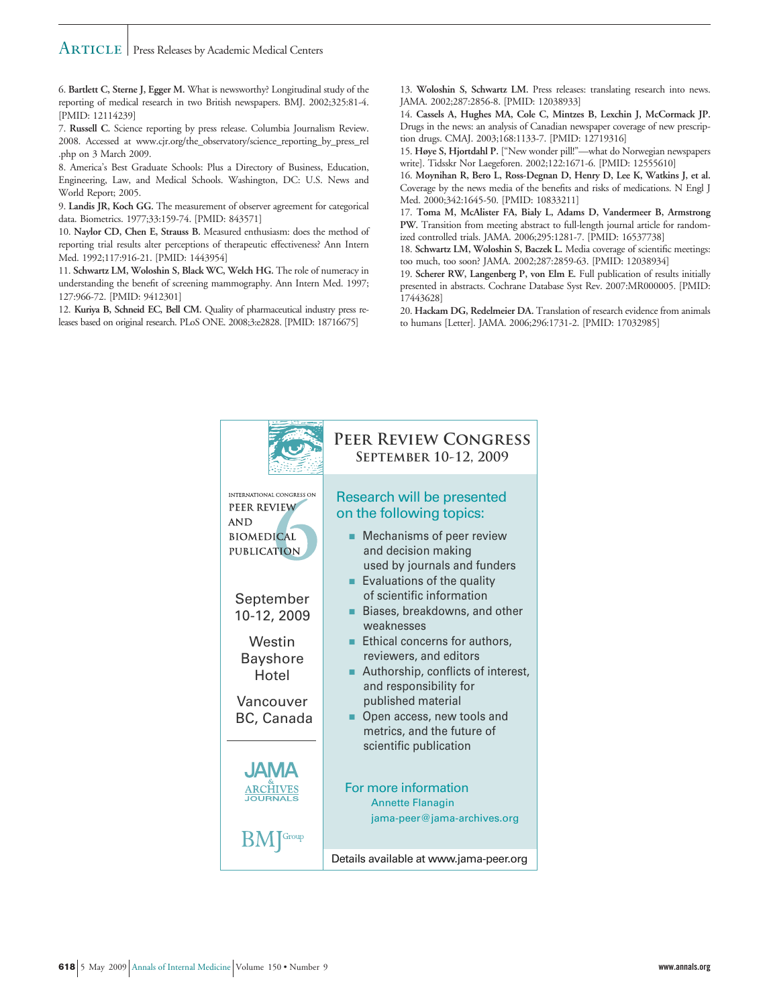# ARTICLE | Press Releases by Academic Medical Centers

6. **Bartlett C, Sterne J, Egger M.** What is newsworthy? Longitudinal study of the reporting of medical research in two British newspapers. BMJ. 2002;325:81-4. [PMID: 12114239]

7. **Russell C.** Science reporting by press release. Columbia Journalism Review. 2008. Accessed at www.cjr.org/the\_observatory/science\_reporting\_by\_press\_rel .php on 3 March 2009.

8. America's Best Graduate Schools: Plus a Directory of Business, Education, Engineering, Law, and Medical Schools. Washington, DC: U.S. News and World Report; 2005.

9. **Landis JR, Koch GG.** The measurement of observer agreement for categorical data. Biometrics. 1977;33:159-74. [PMID: 843571]

10. **Naylor CD, Chen E, Strauss B.** Measured enthusiasm: does the method of reporting trial results alter perceptions of therapeutic effectiveness? Ann Intern Med. 1992;117:916-21. [PMID: 1443954]

11. **Schwartz LM, Woloshin S, Black WC, Welch HG.** The role of numeracy in understanding the benefit of screening mammography. Ann Intern Med. 1997; 127:966-72. [PMID: 9412301]

12. **Kuriya B, Schneid EC, Bell CM.** Quality of pharmaceutical industry press releases based on original research. PLoS ONE. 2008;3:e2828. [PMID: 18716675]

13. **Woloshin S, Schwartz LM.** Press releases: translating research into news. JAMA. 2002;287:2856-8. [PMID: 12038933]

14. **Cassels A, Hughes MA, Cole C, Mintzes B, Lexchin J, McCormack JP.** Drugs in the news: an analysis of Canadian newspaper coverage of new prescription drugs. CMAJ. 2003;168:1133-7. [PMID: 12719316]

15. **Høye S, Hjortdahl P.** ["New wonder pill!"—what do Norwegian newspapers write]. Tidsskr Nor Laegeforen. 2002;122:1671-6. [PMID: 12555610]

16. **Moynihan R, Bero L, Ross-Degnan D, Henry D, Lee K, Watkins J, et al.** Coverage by the news media of the benefits and risks of medications. N Engl J Med. 2000;342:1645-50. [PMID: 10833211]

17. **Toma M, McAlister FA, Bialy L, Adams D, Vandermeer B, Armstrong PW.** Transition from meeting abstract to full-length journal article for randomized controlled trials. JAMA. 2006;295:1281-7. [PMID: 16537738]

18. **Schwartz LM, Woloshin S, Baczek L.** Media coverage of scientific meetings: too much, too soon? JAMA. 2002;287:2859-63. [PMID: 12038934]

19. **Scherer RW, Langenberg P, von Elm E.** Full publication of results initially presented in abstracts. Cochrane Database Syst Rev. 2007:MR000005. [PMID: 17443628]

20. **Hackam DG, Redelmeier DA.** Translation of research evidence from animals to humans [Letter]. JAMA. 2006;296:1731-2. [PMID: 17032985]